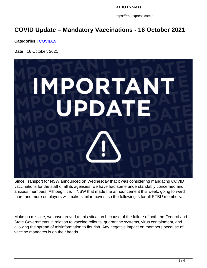https://rtbuexpress.com.au

## **COVID Update – Mandatory Vaccinations - 16 October 2021**

**Categories :** [COVID19](https://rtbuexpress.com.au/category/covid19/)

**Date :** 16 October, 2021



Since Transport for NSW announced on Wednesday that it was considering mandating COVID vaccinations for the staff of all its agencies, we have had some understandably concerned and anxious members. Although it is TfNSW that made the announcement this week, going forward more and more employers will make similar moves, so the following is for all RTBU members.

Make no mistake, we have arrived at this situation because of the failure of both the Federal and State Governments in relation to vaccine rollouts, quarantine systems, virus containment, and allowing the spread of misinformation to flourish. Any negative impact on members because of vaccine mandates is on their heads.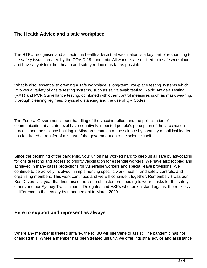## **The Health Advice and a safe workplace**

The RTBU recognises and accepts the health advice that vaccination is a key part of responding to the safety issues created by the COVID-19 pandemic. All workers are entitled to a safe workplace and have any risk to their health and safety reduced as far as possible.

What is also, essential to creating a safe workplace is long-term workplace testing systems which involves a variety of onsite testing systems, such as saliva swab testing, Rapid Antigen Testing (RAT) and PCR Surveillance testing, combined with other control measures such as mask wearing, thorough cleaning regimes, physical distancing and the use of QR Codes.

The Federal Government's poor handling of the vaccine rollout and the politicisation of communication at a state level have negatively impacted people's perception of the vaccination process and the science backing it. Misrepresentation of the science by a variety of political leaders has facilitated a transfer of mistrust of the government onto the science itself.

Since the beginning of the pandemic, your union has worked hard to keep us all safe by advocating for onsite testing and access to priority vaccination for essential workers. We have also lobbied and achieved in many cases protections for vulnerable workers and special leave provisions. We continue to be actively involved in implementing specific work, health, and safety controls, and organising members. This work continues and we will continue it together. Remember, it was our Bus Drivers last year that first raised the issue of customers needing to wear masks for the safety others and our Sydney Trains cleaner Delegates and HSRs who took a stand against the reckless indifference to their safety by management in March 2020.

## **Here to support and represent as always**

Where any member is treated unfairly, the RTBU will intervene to assist. The pandemic has not changed this. Where a member has been treated unfairly, we offer industrial advice and assistance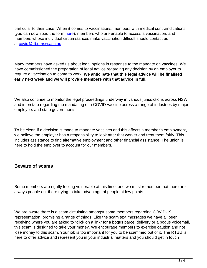particular to their case. When it comes to vaccinations, members with medical contraindications (you can download the form here), members who are unable to access a vaccination, and members whose individual circumstances make vaccination difficult should contact us at covid@rtbu-nsw.asn.au.

Many members have asked us about legal options in response to the mandate on vaccines. We have commissioned the preparation of legal advice regarding any decision by an employer to require a vaccination to come to work. **We anticipate that this legal advice will be finalised early next week and we will provide members with that advice in full.**

We also continue to monitor the legal proceedings underway in various jurisdictions across NSW and interstate regarding the mandating of a COVID vaccine across a range of industries by major employers and state governments.

To be clear, if a decision is made to mandate vaccines and this affects a member's employment, we believe the employer has a responsibility to look after that worker and treat them fairly. This includes assistance to find alternative employment and other financial assistance. The union is here to hold the employer to account for our members.

## **Beware of scams**

Some members are rightly feeling vulnerable at this time, and we must remember that there are always people out there trying to take advantage of people at low points.

We are aware there is a scam circulating amongst some members regarding COVID-19 representation, promising a range of things. Like the scam text messages we have all been receiving where you are asked to "click on a link" for a bogus parcel delivery or a bogus voicemail, this scam is designed to take your money. We encourage members to exercise caution and not lose money to this scam. Your job is too important for you to be scammed out of it. The RTBU is here to offer advice and represent you in your industrial matters and you should get in touch